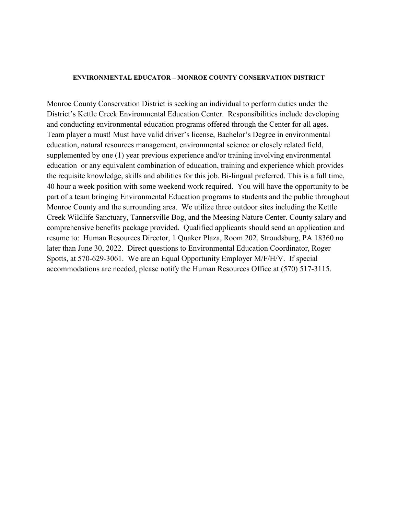#### **ENVIRONMENTAL EDUCATOR – MONROE COUNTY CONSERVATION DISTRICT**

Monroe County Conservation District is seeking an individual to perform duties under the District's Kettle Creek Environmental Education Center. Responsibilities include developing and conducting environmental education programs offered through the Center for all ages. Team player a must! Must have valid driver's license, Bachelor's Degree in environmental education, natural resources management, environmental science or closely related field, supplemented by one (1) year previous experience and/or training involving environmental education or any equivalent combination of education, training and experience which provides the requisite knowledge, skills and abilities for this job. Bi-lingual preferred. This is a full time, 40 hour a week position with some weekend work required. You will have the opportunity to be part of a team bringing Environmental Education programs to students and the public throughout Monroe County and the surrounding area. We utilize three outdoor sites including the Kettle Creek Wildlife Sanctuary, Tannersville Bog, and the Meesing Nature Center. County salary and comprehensive benefits package provided. Qualified applicants should send an application and resume to: Human Resources Director, 1 Quaker Plaza, Room 202, Stroudsburg, PA 18360 no later than June 30, 2022. Direct questions to Environmental Education Coordinator, Roger Spotts, at 570-629-3061. We are an Equal Opportunity Employer M/F/H/V. If special accommodations are needed, please notify the Human Resources Office at (570) 517-3115.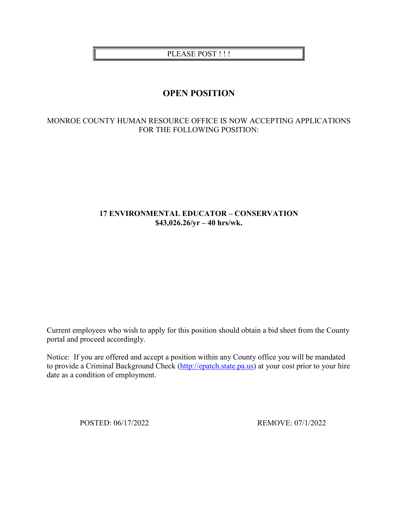PLEASE POST !!!

# **OPEN POSITION**

# MONROE COUNTY HUMAN RESOURCE OFFICE IS NOW ACCEPTING APPLICATIONS FOR THE FOLLOWING POSITION:

# **17 ENVIRONMENTAL EDUCATOR – CONSERVATION \$43,026.26/yr – 40 hrs/wk.**

Current employees who wish to apply for this position should obtain a bid sheet from the County portal and proceed accordingly.

Notice: If you are offered and accept a position within any County office you will be mandated to provide a Criminal Background Check [\(http://epatch.state.pa.us\)](http://epatch.state.pa.us/) at your cost prior to your hire date as a condition of employment.

POSTED: 06/17/2022 REMOVE: 07/1/2022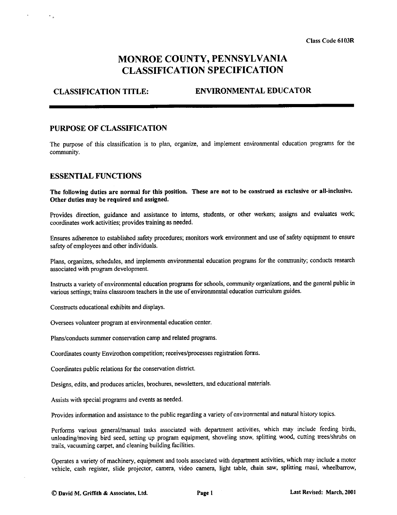# MONROE COUNTY, PENNSYLVANIA **CLASSIFICATION SPECIFICATION**

#### **CLASSIFICATION TITLE: ENVIRONMENTAL EDUCATOR**

### PURPOSE OF CLASSIFICATION

The purpose of this classification is to plan, organize, and implement environmental education programs for the community.

#### **ESSENTIAL FUNCTIONS**

 $\epsilon_{\rm in}$ 

The following duties are normal for this position. These are not to be construed as exclusive or all-inclusive. Other duties may be required and assigned.

Provides direction, guidance and assistance to interns, students, or other workers; assigns and evaluates work; coordinates work activities; provides training as needed.

Ensures adherence to established safety procedures; monitors work environment and use of safety equipment to ensure safety of employees and other individuals.

Plans, organizes, schedules, and implements environmental education programs for the community; conducts research associated with program development.

Instructs a variety of environmental education programs for schools, community organizations, and the general public in various settings: trains classroom teachers in the use of environmental education curriculum guides.

Constructs educational exhibits and displays.

Oversees volunteer program at environmental education center.

Plans/conducts summer conservation camp and related programs.

Coordinates county Envirothon competition; receives/processes registration forms.

Coordinates public relations for the conservation district.

Designs, edits, and produces articles, brochures, newsletters, and educational materials.

Assists with special programs and events as needed.

Provides information and assistance to the public regarding a variety of environmental and natural history topics.

Performs various general/manual tasks associated with department activities, which may include feeding birds, unloading/moving bird seed, setting up program equipment, shoveling snow, splitting wood, cutting trees/shrubs on trails, vacuuming carpet, and cleaning building facilities.

Operates a variety of machinery, equipment and tools associated with department activities, which may include a motor vehicle, cash register, slide projector, camera, video camera, light table, chain saw, splitting maul, wheelbarrow,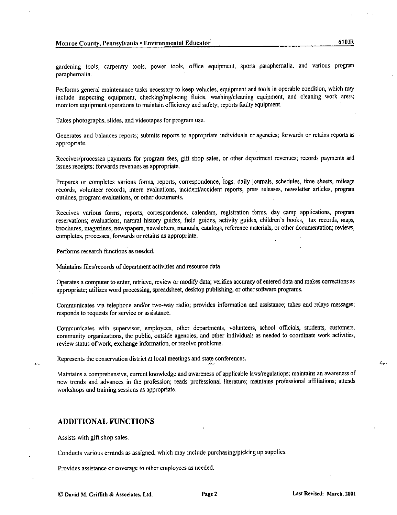6103R

gardening tools, carpentry tools, power tools, office equipment, sports paraphernalia, and various program paraphernalia.

Performs general maintenance tasks necessary to keep vehicles, equipment and tools in operable condition, which may include inspecting equipment, checking/replacing fluids, washing/cleaning equipment, and cleaning work areas; monitors equipment operations to maintain efficiency and safety; reports faulty equipment.

Takes photographs, slides, and videotapes for program use.

Generates and balances reports; submits reports to appropriate individuals or agencies; forwards or retains reports as appropriate.

Receives/processes payments for program fees, gift shop sales, or other department revenues; records payments and issues receipts; forwards revenues as appropriate.

Prepares or completes various forms, reports, correspondence, logs, daily journals, schedules, time sheets, mileage records, volunteer records, intern evaluations, incident/accident reports, press releases, newsletter articles, program outlines, program evaluations, or other documents.

Receives various forms, reports, correspondence, calendars, registration forms, day camp applications, program reservations; evaluations, natural history guides, field guides, activity guides, children's books, tax records, maps, brochures, magazines, newspapers, newsletters, manuals, catalogs, reference materials, or other documentation; reviews, completes, processes, forwards or retains as appropriate.

Performs research functions as needed.

Maintains files/records of department activities and resource data.

Operates a computer to enter, retrieve, review or modify data; verifies accuracy of entered data and makes corrections as appropriate; utilizes word processing, spreadsheet, desktop publishing, or other software programs.

Communicates via telephone and/or two-way radio; provides information and assistance; takes and relays messages; responds to requests for service or assistance.

Communicates with supervisor, employees, other departments, volunteers, school officials, students, customers, community organizations, the public, outside agencies, and other individuals as needed to coordinate work activities. review status of work, exchange information, or resolve problems.

Represents the conservation district at local meetings and state conferences.

Maintains a comprehensive, current knowledge and awareness of applicable laws/regulations; maintains an awareness of new trends and advances in the profession; reads professional literature; maintains professional affiliations; attends workshops and training sessions as appropriate.

#### **ADDITIONAL FUNCTIONS**

Assists with gift shop sales.

 $\mathbf{A}$ 

Conducts various errands as assigned, which may include purchasing/picking up supplies.

Provides assistance or coverage to other employees as needed.

 $\mathcal{L}_{\text{M}}$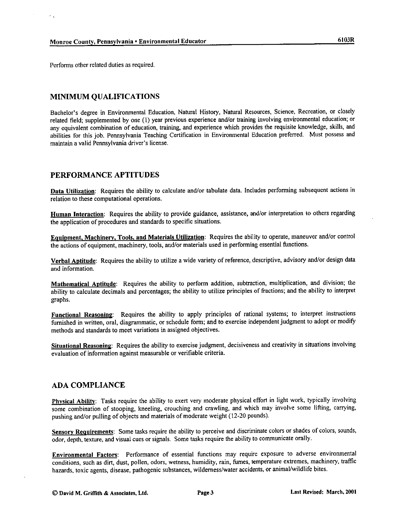Performs other related duties as required.

 $\epsilon_{\rm{in}}$ 

# **MINIMUM QUALIFICATIONS**

Bachelor's degree in Environmental Education, Natural History, Natural Resources, Science, Recreation, or closely related field; supplemented by one (1) year previous experience and/or training involving environmental education; or any equivalent combination of education, training, and experience which provides the requisite knowledge, skills, and abilities for this job. Pennsylvania Teaching Certification in Environmental Education preferred. Must possess and maintain a valid Pennsylvania driver's license.

# PERFORMANCE APTITUDES

Data Utilization: Requires the ability to calculate and/or tabulate data. Includes performing subsequent actions in relation to these computational operations.

Human Interaction: Requires the ability to provide guidance, assistance, and/or interpretation to others regarding the application of procedures and standards to specific situations.

Equipment, Machinery, Tools, and Materials Utilization: Requires the ability to operate, maneuver and/or control the actions of equipment, machinery, tools, and/or materials used in performing essential functions.

Verbal Aptitude: Requires the ability to utilize a wide variety of reference, descriptive, advisory and/or design data and information.

Mathematical Aptitude: Requires the ability to perform addition, subtraction, multiplication, and division; the ability to calculate decimals and percentages; the ability to utilize principles of fractions; and the ability to interpret graphs.

Functional Reasoning: Requires the ability to apply principles of rational systems; to interpret instructions furnished in written, oral, diagrammatic, or schedule form; and to exercise independent judgment to adopt or modify methods and standards to meet variations in assigned objectives.

Situational Reasoning: Requires the ability to exercise judgment, decisiveness and creativity in situations involving evaluation of information against measurable or verifiable criteria.

## **ADA COMPLIANCE**

Physical Ability: Tasks require the ability to exert very moderate physical effort in light work, typically involving some combination of stooping, kneeling, crouching and crawling, and which may involve some lifting, carrying, pushing and/or pulling of objects and materials of moderate weight (12-20 pounds).

Sensory Requirements: Some tasks require the ability to perceive and discriminate colors or shades of colors, sounds, odor, depth, texture, and visual cues or signals. Some tasks require the ability to communicate orally.

Environmental Factors: Performance of essential functions may require exposure to adverse environmental conditions, such as dirt, dust, pollen, odors, wetness, humidity, rain, fumes, temperature extremes, machinery, traffic hazards, toxic agents, disease, pathogenic substances, wilderness/water accidents, or animal/wildlife bites.